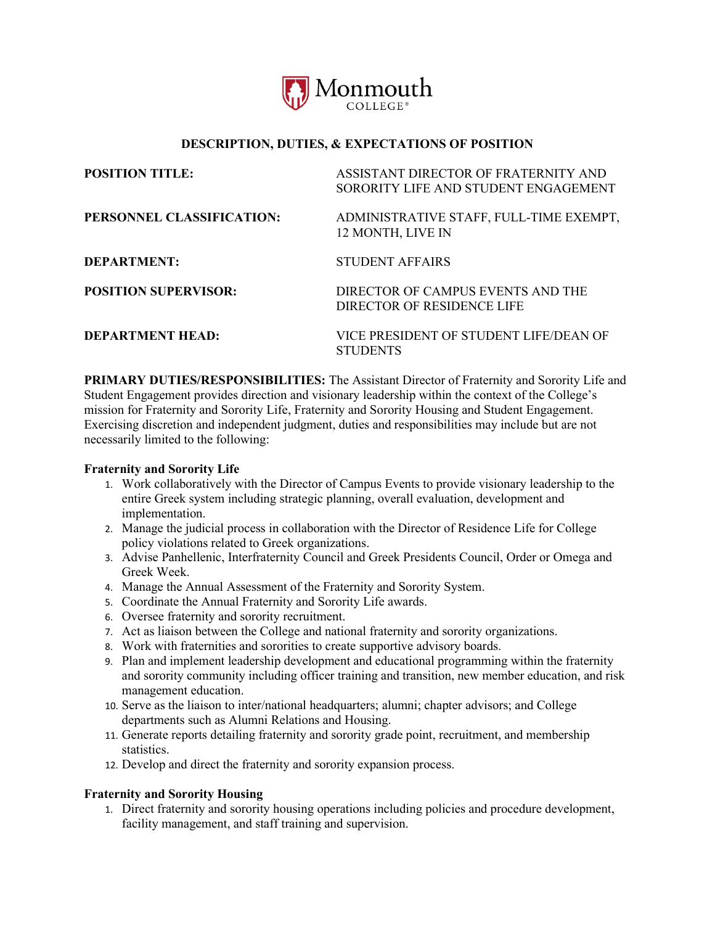

# **DESCRIPTION, DUTIES, & EXPECTATIONS OF POSITION**

| <b>POSITION TITLE:</b>      | ASSISTANT DIRECTOR OF FRATERNITY AND<br>SORORITY LIFE AND STUDENT ENGAGEMENT |
|-----------------------------|------------------------------------------------------------------------------|
| PERSONNEL CLASSIFICATION:   | ADMINISTRATIVE STAFF, FULL-TIME EXEMPT,<br>12 MONTH, LIVE IN                 |
| DEPARTMENT:                 | <b>STUDENT AFFAIRS</b>                                                       |
| <b>POSITION SUPERVISOR:</b> | DIRECTOR OF CAMPUS EVENTS AND THE<br>DIRECTOR OF RESIDENCE LIFE              |
| <b>DEPARTMENT HEAD:</b>     | VICE PRESIDENT OF STUDENT LIFE/DEAN OF<br><b>STUDENTS</b>                    |

**PRIMARY DUTIES/RESPONSIBILITIES:** The Assistant Director of Fraternity and Sorority Life and Student Engagement provides direction and visionary leadership within the context of the College's mission for Fraternity and Sorority Life, Fraternity and Sorority Housing and Student Engagement. Exercising discretion and independent judgment, duties and responsibilities may include but are not necessarily limited to the following:

#### **Fraternity and Sorority Life**

- 1. Work collaboratively with the Director of Campus Events to provide visionary leadership to the entire Greek system including strategic planning, overall evaluation, development and implementation.
- 2. Manage the judicial process in collaboration with the Director of Residence Life for College policy violations related to Greek organizations.
- 3. Advise Panhellenic, Interfraternity Council and Greek Presidents Council, Order or Omega and Greek Week.
- 4. Manage the Annual Assessment of the Fraternity and Sorority System.
- 5. Coordinate the Annual Fraternity and Sorority Life awards.
- 6. Oversee fraternity and sorority recruitment.
- 7. Act as liaison between the College and national fraternity and sorority organizations.
- 8. Work with fraternities and sororities to create supportive advisory boards.
- 9. Plan and implement leadership development and educational programming within the fraternity and sorority community including officer training and transition, new member education, and risk management education.
- 10. Serve as the liaison to inter/national headquarters; alumni; chapter advisors; and College departments such as Alumni Relations and Housing.
- 11. Generate reports detailing fraternity and sorority grade point, recruitment, and membership statistics.
- 12. Develop and direct the fraternity and sorority expansion process.

### **Fraternity and Sorority Housing**

1. Direct fraternity and sorority housing operations including policies and procedure development, facility management, and staff training and supervision.